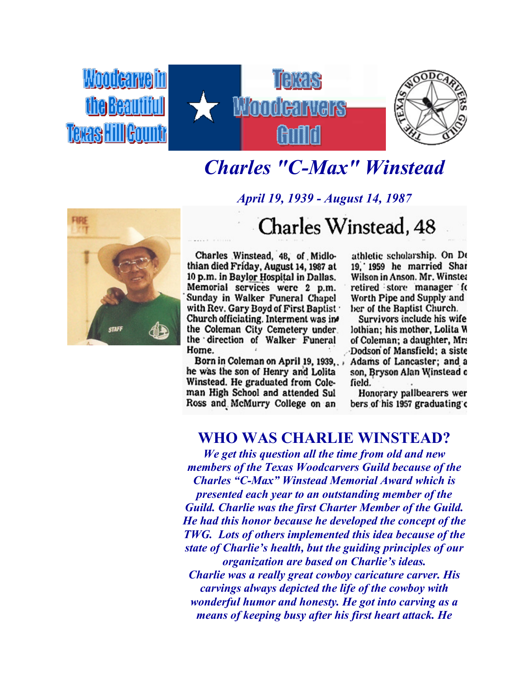

## *Charles "C-Max" Winstead*



*April 19, 1939 - August 14, 1987* Charles Winstead, 48

Charles Winstead, 48, of Midlothian died Friday, August 14, 1987 at 10 p.m. in Baylor Hospital in Dallas. Memorial services were 2 p.m.<br>Sunday in Walker Funeral Chapel with Rev. Gary Boyd of First Baptist Church officiating. Interment was in the Coleman City Cemetery under the direction of Walker Funeral Home.

Born in Coleman on April 19, 1939... he was the son of Henry and Lolita Winstead. He graduated from Coleman High School and attended Sul Ross and McMurry College on an

athletic scholarship. On De 19, 1959 he married Shar Wilson in Anson. Mr. Winster retired store manager fo Worth Pipe and Supply and ber of the Baptist Church.

Survivors include his wife lothian; his mother, Lolita W of Coleman; a daughter, Mr. Dodson of Mansfield; a siste Adams of Lancaster; and a son, Bryson Alan Winstead o field.

Honorary pallbearers wer bers of his 1957 graduating c

## **WHO WAS CHARLIE WINSTEAD?**

*We get this question all the time from old and new members of the Texas Woodcarvers Guild because of the Charles "C-Max" Winstead Memorial Award which is presented each year to an outstanding member of the Guild. Charlie was the first Charter Member of the Guild. He had this honor because he developed the concept of the TWG. Lots of others implemented this idea because of the state of Charlie's health, but the guiding principles of our organization are based on Charlie's ideas. Charlie was a really great cowboy caricature carver. His carvings always depicted the life of the cowboy with wonderful humor and honesty. He got into carving as a means of keeping busy after his first heart attack. He*